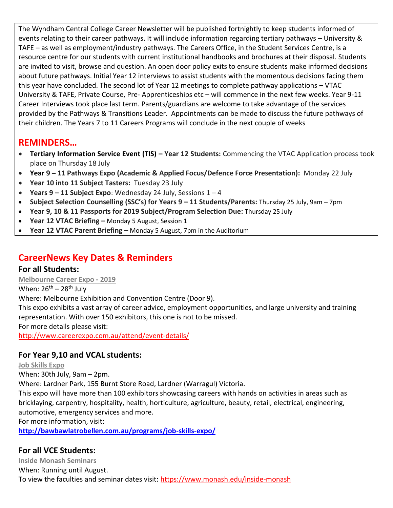The Wyndham Central College Career Newsletter will be published fortnightly to keep students informed of events relating to their career pathways. It will include information regarding tertiary pathways – University & TAFE – as well as employment/industry pathways. The Careers Office, in the Student Services Centre, is a resource centre for our students with current institutional handbooks and brochures at their disposal. Students are invited to visit, browse and question. An open door policy exits to ensure students make informed decisions about future pathways. Initial Year 12 interviews to assist students with the momentous decisions facing them this year have concluded. The second lot of Year 12 meetings to complete pathway applications – VTAC University & TAFE, Private Course, Pre- Apprenticeships etc – will commence in the next few weeks. Year 9-11 Career Interviews took place last term. Parents/guardians are welcome to take advantage of the services provided by the Pathways & Transitions Leader. Appointments can be made to discuss the future pathways of their children. The Years 7 to 11 Careers Programs will conclude in the next couple of weeks

## **REMINDERS…**

- **Tertiary Information Service Event (TIS) – Year 12 Students:** Commencing the VTAC Application process took place on Thursday 18 July
- **Year 9 – 11 Pathways Expo (Academic & Applied Focus/Defence Force Presentation):** Monday 22 July
- **Year 10 into 11 Subject Tasters:** Tuesday 23 July
- **Years 9 – 11 Subject Expo**: Wednesday 24 July, Sessions 1 4
- **Subject Selection Counselling (SSC's) for Years 9 – 11 Students/Parents:** Thursday 25 July, 9am 7pm
- **Year 9, 10 & 11 Passports for 2019 Subject/Program Selection Due:** Thursday 25 July
- **Year 12 VTAC Briefing –** Monday 5 August, Session 1
- **Year 12 VTAC Parent Briefing –** Monday 5 August, 7pm in the Auditorium

## **CareerNews Key Dates & Reminders**

#### **For all Students:**

**Melbourne Career Expo - 2019**

When:  $26^{th} - 28^{th}$  July

Where: Melbourne Exhibition and Convention Centre (Door 9).

This expo exhibits a vast array of career advice, employment opportunities, and large university and training representation. With over 150 exhibitors, this one is not to be missed.

For more details please visit:

<http://www.careerexpo.com.au/attend/event-details/>

#### **For Year 9,10 and VCAL students:**

#### **Job Skills Expo**

When: 30th July, 9am – 2pm.

Where: Lardner Park, 155 Burnt Store Road, Lardner (Warragul) Victoria.

This expo will have more than 100 exhibitors showcasing careers with hands on activities in areas such as bricklaying, carpentry, hospitality, health, horticulture, agriculture, beauty, retail, electrical, engineering, automotive, emergency services and more.

For more information, visit:

**<http://bawbawlatrobellen.com.au/programs/job-skills-expo/>**

#### **For all VCE Students:**

**Inside Monash Seminars** When: Running until August. To view the faculties and seminar dates visit:<https://www.monash.edu/inside-monash>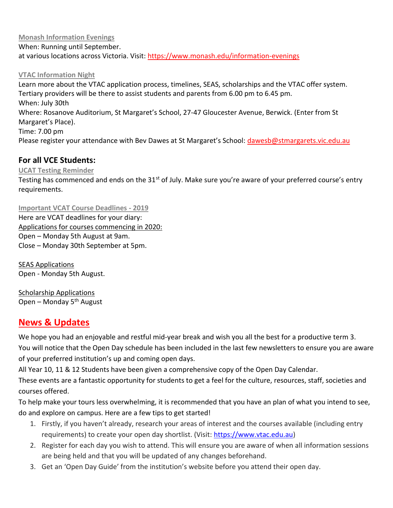**Monash Information Evenings**

When: Running until September. at various locations across Victoria. Visit:<https://www.monash.edu/information-evenings>

#### **VTAC Information Night**

Learn more about the VTAC application process, timelines, SEAS, scholarships and the VTAC offer system. Tertiary providers will be there to assist students and parents from 6.00 pm to 6.45 pm. When: July 30th Where: Rosanove Auditorium, St Margaret's School, 27-47 Gloucester Avenue, Berwick. (Enter from St Margaret's Place). Time: 7.00 pm Please register your attendance with Bev Dawes at St Margaret's School: [dawesb@stmargarets.vic.edu.au](mailto:dawesb@stmargarets.vic.edu.au)

#### **For all VCE Students:**

#### **UCAT Testing Reminder**

Testing has commenced and ends on the 31<sup>st</sup> of July. Make sure you're aware of your preferred course's entry requirements.

**Important VCAT Course Deadlines - 2019** Here are VCAT deadlines for your diary: Applications for courses commencing in 2020: Open – Monday 5th August at 9am. Close – Monday 30th September at 5pm.

SEAS Applications Open - Monday 5th August.

Scholarship Applications Open – Monday  $5<sup>th</sup>$  August

### **News & Updates**

We hope you had an enjoyable and restful mid-year break and wish you all the best for a productive term 3. You will notice that the Open Day schedule has been included in the last few newsletters to ensure you are aware of your preferred institution's up and coming open days.

All Year 10, 11 & 12 Students have been given a comprehensive copy of the Open Day Calendar.

These events are a fantastic opportunity for students to get a feel for the culture, resources, staff, societies and courses offered.

To help make your tours less overwhelming, it is recommended that you have an plan of what you intend to see, do and explore on campus. Here are a few tips to get started!

- 1. Firstly, if you haven't already, research your areas of interest and the courses available (including entry requirements) to create your open day shortlist. (Visit: [https://www.vtac.edu.au\)](https://www.vtac.edu.au/)
- 2. Register for each day you wish to attend. This will ensure you are aware of when all information sessions are being held and that you will be updated of any changes beforehand.
- 3. Get an 'Open Day Guide' from the institution's website before you attend their open day.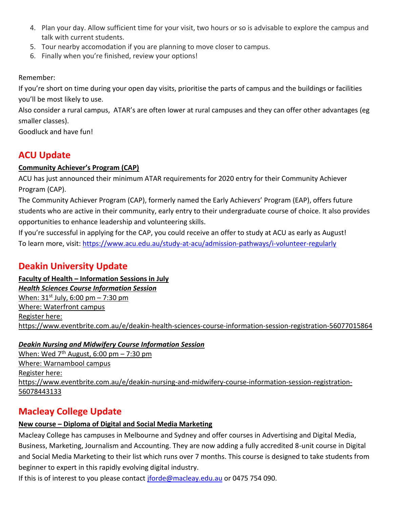- 4. Plan your day. Allow sufficient time for your visit, two hours or so is advisable to explore the campus and talk with current students.
- 5. Tour nearby accomodation if you are planning to move closer to campus.
- 6. Finally when you're finished, review your options!

Remember:

If you're short on time during your open day visits, prioritise the parts of campus and the buildings or facilities you'll be most likely to use.

Also consider a rural campus, ATAR's are often lower at rural campuses and they can offer other advantages (eg smaller classes).

Goodluck and have fun!

## **ACU Update**

#### **Community Achiever's Program (CAP)**

ACU has just announced their minimum ATAR requirements for 2020 entry for their Community Achiever Program (CAP).

The Community Achiever Program (CAP), formerly named the Early Achievers' Program (EAP), offers future students who are active in their community, early entry to their undergraduate course of choice. It also provides opportunities to enhance leadership and volunteering skills.

If you're successful in applying for the CAP, you could receive an offer to study at ACU as early as August! To learn more, visit:<https://www.acu.edu.au/study-at-acu/admission-pathways/i-volunteer-regularly>

## **Deakin University Update**

**Faculty of Health – Information Sessions in July** *Health Sciences Course Information Session* When:  $31^{st}$  July, 6:00 pm – 7:30 pm Where: Waterfront campus Register here: <https://www.eventbrite.com.au/e/deakin-health-sciences-course-information-session-registration-56077015864>

#### *Deakin Nursing and Midwifery Course Information Session*

When: Wed  $7<sup>th</sup>$  August, 6:00 pm – 7:30 pm Where: Warnambool campus Register here: [https://www.eventbrite.com.au/e/deakin-nursing-and-midwifery-course-information-session-registration-](https://www.eventbrite.com.au/e/deakin-nursing-and-midwifery-course-information-session-registration-56078443133)[56078443133](https://www.eventbrite.com.au/e/deakin-nursing-and-midwifery-course-information-session-registration-56078443133)

## **Macleay College Update**

## **New course – Diploma of Digital and Social Media Marketing**

Macleay College has campuses in Melbourne and Sydney and offer courses in Advertising and Digital Media, Business, Marketing, Journalism and Accounting. They are now adding a fully accredited 8-unit course in Digital and Social Media Marketing to their list which runs over 7 months. This course is designed to take students from beginner to expert in this rapidly evolving digital industry.

If this is of interest to you please contact [jforde@macleay.edu.au](mailto:jforde@macleay.edu.au) or 0475 754 090.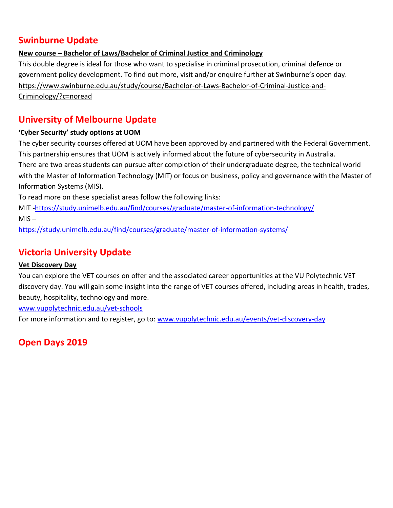## **Swinburne Update**

#### **New course – Bachelor of Laws/Bachelor of Criminal Justice and Criminology**

This double degree is ideal for those who want to specialise in criminal prosecution, criminal defence or government policy development. To find out more, visit and/or enquire further at Swinburne's open day. [https://www.swinburne.edu.au/study/course/Bachelor-of-Laws-Bachelor-of-Criminal-Justice-and-](https://www.swinburne.edu.au/study/course/Bachelor-of-Laws-Bachelor-of-Criminal-Justice-and-Criminology/?c=noread)[Criminology/?c=noread](https://www.swinburne.edu.au/study/course/Bachelor-of-Laws-Bachelor-of-Criminal-Justice-and-Criminology/?c=noread)

## **University of Melbourne Update**

#### **'Cyber Security' study options at UOM**

The cyber security courses offered at UOM have been approved by and partnered with the Federal Government. This partnership ensures that UOM is actively informed about the future of cybersecurity in Australia.

There are two areas students can pursue after completion of their undergraduate degree, the technical world with the Master of Information Technology (MIT) or focus on business, policy and governance with the Master of Information Systems (MIS).

To read more on these specialist areas follow the following links:

MIT [-https://study.unimelb.edu.au/find/courses/graduate/master-of-information-technology/](https://study.unimelb.edu.au/find/courses/graduate/master-of-information-technology/)  $MIS -$ 

<https://study.unimelb.edu.au/find/courses/graduate/master-of-information-systems/>

## **Victoria University Update**

#### **Vet Discovery Day**

You can explore the VET courses on offer and the associated career opportunities at the VU Polytechnic VET discovery day. You will gain some insight into the range of VET courses offered, including areas in health, trades, beauty, hospitality, technology and more.

[www.vupolytechnic.edu.au/vet-schools](http://www.vupolytechnic.edu.au/vet-schools)

For more information and to register, go to: [www.vupolytechnic.edu.au/events/vet-discovery-day](http://www.vupolytechnic.edu.au/events/vet-discovery-day)

## **Open Days 2019**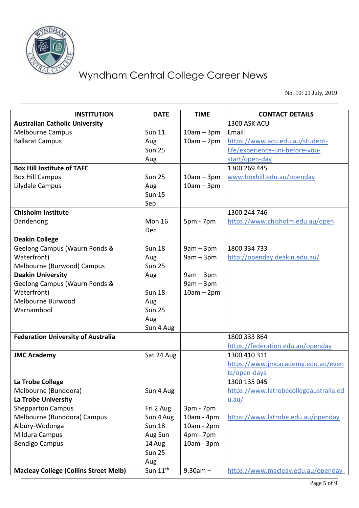

No. 10: 21 July, 2019

| <b>INSTITUTION</b>                           | <b>DATE</b>          | <b>TIME</b>  | <b>CONTACT DETAILS</b>                 |
|----------------------------------------------|----------------------|--------------|----------------------------------------|
| <b>Australian Catholic University</b>        |                      |              | 1300 ASK ACU                           |
| <b>Melbourne Campus</b>                      | <b>Sun 11</b>        | $10am - 3pm$ | Email:                                 |
| <b>Ballarat Campus</b>                       | Aug                  | $10am - 2pm$ | https://www.acu.edu.au/student-        |
|                                              | <b>Sun 25</b>        |              | life/experience-uni-before-you-        |
|                                              | Aug                  |              | start/open-day                         |
| <b>Box Hill Institute of TAFE</b>            |                      |              | 1300 269 445                           |
| <b>Box Hill Campus</b>                       | <b>Sun 25</b>        | $10am - 3pm$ | www.boxhill.edu.au/openday             |
| Lilydale Campus                              | Aug                  | $10am - 3pm$ |                                        |
|                                              | <b>Sun 15</b>        |              |                                        |
|                                              | Sep                  |              |                                        |
| <b>Chisholm Institute</b>                    |                      |              | 1300 244 746                           |
| Dandenong                                    | <b>Mon 16</b>        | 5pm - 7pm    | https://www.chisholm.edu.au/open       |
|                                              | Dec                  |              |                                        |
| <b>Deakin College</b>                        |                      |              |                                        |
| Geelong Campus (Waurn Ponds &                | <b>Sun 18</b>        | $9am - 3pm$  | 1800 334 733                           |
| Waterfront)                                  | Aug                  | $9am - 3pm$  | http://openday.deakin.edu.au/          |
| Melbourne (Burwood) Campus                   | <b>Sun 25</b>        |              |                                        |
| <b>Deakin University</b>                     | Aug                  | $9am - 3pm$  |                                        |
| Geelong Campus (Waurn Ponds &                |                      | $9am - 3pm$  |                                        |
| Waterfront)                                  | <b>Sun 18</b>        | $10am - 2pm$ |                                        |
| Melbourne Burwood                            | Aug                  |              |                                        |
| Warnambool                                   | <b>Sun 25</b>        |              |                                        |
|                                              | Aug                  |              |                                        |
|                                              | Sun 4 Aug            |              |                                        |
| <b>Federation University of Australia</b>    |                      |              | 1800 333 864                           |
|                                              |                      |              | https://federation.edu.au/openday      |
| <b>JMC Academy</b>                           | Sat 24 Aug           |              | 1300 410 311                           |
|                                              |                      |              | https://www.jmcacademy.edu.au/even     |
|                                              |                      |              | ts/open-days                           |
| La Trobe College                             |                      |              | 1300 135 045                           |
| Melbourne (Bundoora)                         | Sun 4 Aug            |              | https://www.latrobecollegeaustralia.ed |
| La Trobe University                          |                      |              | u.au/                                  |
| <b>Shepparton Campus</b>                     | Fri 2 Aug            | $3pm - 7pm$  |                                        |
| Melbourne (Bundoora) Campus                  | Sun 4 Aug            | $10am - 4pm$ | https://www.latrobe.edu.au/openday     |
| Albury-Wodonga                               | <b>Sun 18</b>        | 10am - 2pm   |                                        |
| Mildura Campus                               | Aug Sun              | 4pm - 7pm    |                                        |
| <b>Bendigo Campus</b>                        | 14 Aug               | 10am - 3pm   |                                        |
|                                              | <b>Sun 25</b>        |              |                                        |
|                                              | Aug                  |              |                                        |
| <b>Macleay College (Collins Street Melb)</b> | Sun $11^{\text{th}}$ | $9.30am -$   | https://www.macleay.edu.au/openday-    |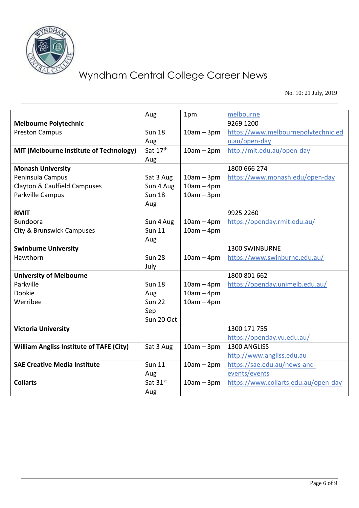

No. 10: 21 July, 2019

|                                                 | Aug           | 1pm          | melbourne                            |
|-------------------------------------------------|---------------|--------------|--------------------------------------|
| <b>Melbourne Polytechnic</b>                    |               |              | 9269 1200                            |
| <b>Preston Campus</b>                           | <b>Sun 18</b> | $10am - 3pm$ | https://www.melbournepolytechnic.ed  |
|                                                 | Aug           |              | u.au/open-day                        |
| MIT (Melbourne Institute of Technology)         | Sat 17th      | $10am - 2pm$ | http://mit.edu.au/open-day           |
|                                                 | Aug           |              |                                      |
| <b>Monash University</b>                        |               |              | 1800 666 274                         |
| Peninsula Campus                                | Sat 3 Aug     | $10am - 3pm$ | https://www.monash.edu/open-day      |
| Clayton & Caulfield Campuses                    | Sun 4 Aug     | $10am - 4pm$ |                                      |
| Parkville Campus                                | <b>Sun 18</b> | $10am - 3pm$ |                                      |
|                                                 | Aug           |              |                                      |
| <b>RMIT</b>                                     |               |              | 9925 2260                            |
| <b>Bundoora</b>                                 | Sun 4 Aug     | $10am - 4pm$ | https://openday.rmit.edu.au/         |
| City & Brunswick Campuses                       | <b>Sun 11</b> | $10am - 4pm$ |                                      |
|                                                 | Aug           |              |                                      |
| <b>Swinburne University</b>                     |               |              | 1300 SWINBURNE                       |
| Hawthorn                                        | <b>Sun 28</b> | $10am - 4pm$ | https://www.swinburne.edu.au/        |
|                                                 | July          |              |                                      |
| <b>University of Melbourne</b>                  |               |              | 1800 801 662                         |
| Parkville                                       | <b>Sun 18</b> | $10am - 4pm$ | https://openday.unimelb.edu.au/      |
| Dookie                                          | Aug           | $10am - 4pm$ |                                      |
| Werribee                                        | <b>Sun 22</b> | $10am - 4pm$ |                                      |
|                                                 | Sep           |              |                                      |
|                                                 | Sun 20 Oct    |              |                                      |
| <b>Victoria University</b>                      |               |              | 1300 171 755                         |
|                                                 |               |              | https://openday.vu.edu.au/           |
| <b>William Angliss Institute of TAFE (City)</b> | Sat 3 Aug     | $10am - 3pm$ | 1300 ANGLISS                         |
|                                                 |               |              | http://www.angliss.edu.au            |
| <b>SAE Creative Media Institute</b>             | <b>Sun 11</b> | $10am - 2pm$ | https://sae.edu.au/news-and-         |
|                                                 | Aug           |              | events/events                        |
| <b>Collarts</b>                                 | Sat 31st      | $10am - 3pm$ | https://www.collarts.edu.au/open-day |
|                                                 | Aug           |              |                                      |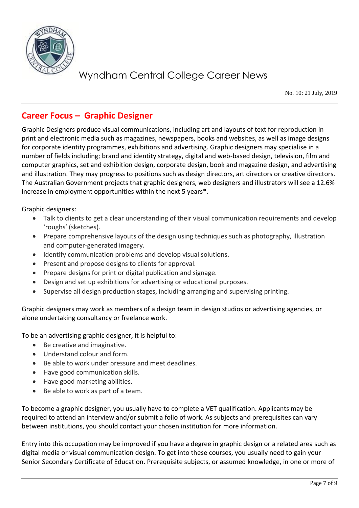

No. 10: 21 July, 2019

## **Career Focus – Graphic Designer**

Graphic Designers produce visual communications, including art and layouts of text for reproduction in print and electronic media such as magazines, newspapers, books and websites, as well as image designs for corporate identity programmes, exhibitions and advertising. Graphic designers may specialise in a number of fields including; brand and identity strategy, digital and web-based design, television, film and computer graphics, set and exhibition design, corporate design, book and magazine design, and advertising and illustration. They may progress to positions such as design directors, art directors or creative directors. The Australian Government projects that graphic designers, web designers and illustrators will see a 12.6% increase in employment opportunities within the next 5 years\*.

Graphic designers:

- Talk to clients to get a clear understanding of their visual communication requirements and develop 'roughs' (sketches).
- Prepare comprehensive layouts of the design using techniques such as photography, illustration and computer-generated imagery.
- Identify communication problems and develop visual solutions.
- Present and propose designs to clients for approval.
- Prepare designs for print or digital publication and signage.
- Design and set up exhibitions for advertising or educational purposes.
- Supervise all design production stages, including arranging and supervising printing.

Graphic designers may work as members of a design team in design studios or advertising agencies, or alone undertaking consultancy or freelance work.

To be an advertising graphic designer, it is helpful to:

- Be creative and imaginative.
- Understand colour and form.
- Be able to work under pressure and meet deadlines.
- Have good communication skills.
- Have good marketing abilities.
- Be able to work as part of a team.

To become a graphic designer, you usually have to complete a VET qualification. Applicants may be required to attend an interview and/or submit a folio of work. As subjects and prerequisites can vary between institutions, you should contact your chosen institution for more information.

Entry into this occupation may be improved if you have a degree in graphic design or a related area such as digital media or visual communication design. To get into these courses, you usually need to gain your Senior Secondary Certificate of Education. Prerequisite subjects, or assumed knowledge, in one or more of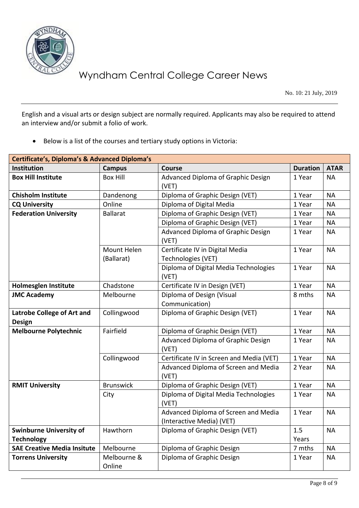

No. 10: 21 July, 2019

English and a visual arts or design subject are normally required. Applicants may also be required to attend an interview and/or submit a folio of work.

• Below is a list of the courses and tertiary study options in Victoria:

| <b>Certificate's, Diploma's &amp; Advanced Diploma's</b> |                  |                                                |                 |             |  |
|----------------------------------------------------------|------------------|------------------------------------------------|-----------------|-------------|--|
| <b>Institution</b>                                       | <b>Campus</b>    | <b>Course</b>                                  | <b>Duration</b> | <b>ATAR</b> |  |
| <b>Box Hill Institute</b>                                | <b>Box Hill</b>  | Advanced Diploma of Graphic Design             | 1 Year          | <b>NA</b>   |  |
|                                                          |                  | (VET)                                          |                 |             |  |
| <b>Chisholm Institute</b>                                | Dandenong        | Diploma of Graphic Design (VET)                | 1 Year          | <b>NA</b>   |  |
| <b>CQ University</b>                                     | Online           | Diploma of Digital Media                       | 1 Year          | <b>NA</b>   |  |
| <b>Federation University</b>                             | <b>Ballarat</b>  | Diploma of Graphic Design (VET)                | 1 Year          | <b>NA</b>   |  |
|                                                          |                  | Diploma of Graphic Design (VET)                | 1 Year          | <b>NA</b>   |  |
|                                                          |                  | Advanced Diploma of Graphic Design             | 1 Year          | <b>NA</b>   |  |
|                                                          |                  | (VET)                                          |                 |             |  |
|                                                          | Mount Helen      | Certificate IV in Digital Media                | 1 Year          | <b>NA</b>   |  |
|                                                          | (Ballarat)       | Technologies (VET)                             |                 |             |  |
|                                                          |                  | Diploma of Digital Media Technologies          | 1 Year          | <b>NA</b>   |  |
|                                                          |                  | (VET)                                          |                 |             |  |
| <b>Holmesglen Institute</b>                              | Chadstone        | Certificate IV in Design (VET)                 | 1 Year          | <b>NA</b>   |  |
| <b>JMC Academy</b>                                       | Melbourne        | Diploma of Design (Visual                      | 8 mths          | <b>NA</b>   |  |
|                                                          |                  | Communication)                                 |                 |             |  |
| <b>Latrobe College of Art and</b>                        | Collingwood      | Diploma of Graphic Design (VET)                | 1 Year          | <b>NA</b>   |  |
| <b>Design</b>                                            |                  |                                                |                 |             |  |
| <b>Melbourne Polytechnic</b>                             | Fairfield        | Diploma of Graphic Design (VET)                | 1 Year          | <b>NA</b>   |  |
|                                                          |                  | Advanced Diploma of Graphic Design             | 1 Year          | <b>NA</b>   |  |
|                                                          |                  | (VET)                                          |                 |             |  |
|                                                          | Collingwood      | Certificate IV in Screen and Media (VET)       | 1 Year          | <b>NA</b>   |  |
|                                                          |                  | Advanced Diploma of Screen and Media           | 2 Year          | <b>NA</b>   |  |
|                                                          |                  | (VET)                                          |                 |             |  |
| <b>RMIT University</b>                                   | <b>Brunswick</b> | Diploma of Graphic Design (VET)                | 1 Year          | <b>NA</b>   |  |
|                                                          | City             | Diploma of Digital Media Technologies<br>(VET) | 1 Year          | <b>NA</b>   |  |
|                                                          |                  | Advanced Diploma of Screen and Media           | 1 Year          | <b>NA</b>   |  |
|                                                          |                  | (Interactive Media) (VET)                      |                 |             |  |
| <b>Swinburne University of</b>                           | Hawthorn         | Diploma of Graphic Design (VET)                | 1.5             | <b>NA</b>   |  |
| <b>Technology</b>                                        |                  |                                                | Years           |             |  |
| <b>SAE Creative Media Insitute</b>                       | Melbourne        | Diploma of Graphic Design                      | 7 mths          | <b>NA</b>   |  |
| <b>Torrens University</b>                                | Melbourne &      | Diploma of Graphic Design                      | 1 Year          | <b>NA</b>   |  |
|                                                          | Online           |                                                |                 |             |  |